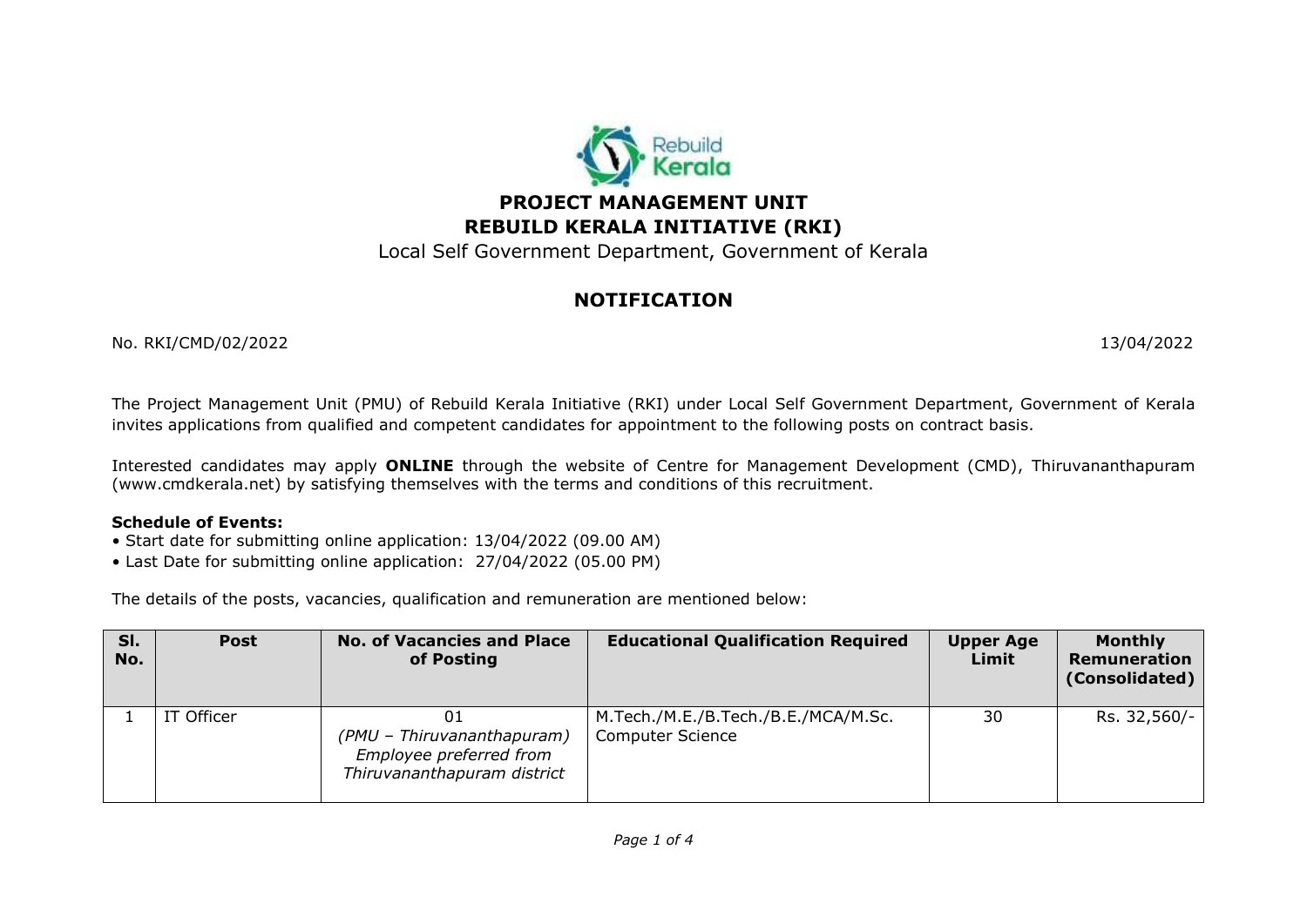

## **PROJECT MANAGEMENT UNIT REBUILD KERALA INITIATIVE (RKI)**

Local Self Government Department, Government of Kerala

# **NOTIFICATION**

No. RKI/CMD/02/2022 13/04/2022

The Project Management Unit (PMU) of Rebuild Kerala Initiative (RKI) under Local Self Government Department, Government of Kerala invites applications from qualified and competent candidates for appointment to the following posts on contract basis.

Interested candidates may apply **ONLINE** through the website of Centre for Management Development (CMD), Thiruvananthapuram (www.cmdkerala.net) by satisfying themselves with the terms and conditions of this recruitment.

#### **Schedule of Events:**

- Start date for submitting online application: 13/04/2022 (09.00 AM)
- Last Date for submitting online application: 27/04/2022 (05.00 PM)

The details of the posts, vacancies, qualification and remuneration are mentioned below:

| SI.<br>No. | <b>Post</b> | <b>No. of Vacancies and Place</b><br>of Posting                                      | <b>Educational Qualification Required</b>                      | <b>Upper Age</b><br>Limit | <b>Monthly</b><br>Remuneration<br>(Consolidated) |
|------------|-------------|--------------------------------------------------------------------------------------|----------------------------------------------------------------|---------------------------|--------------------------------------------------|
|            | IT Officer  | (PMU - Thiruvananthapuram)<br>Employee preferred from<br>Thiruvananthapuram district | M.Tech./M.E./B.Tech./B.E./MCA/M.Sc.<br><b>Computer Science</b> | 30                        | Rs. 32,560/-                                     |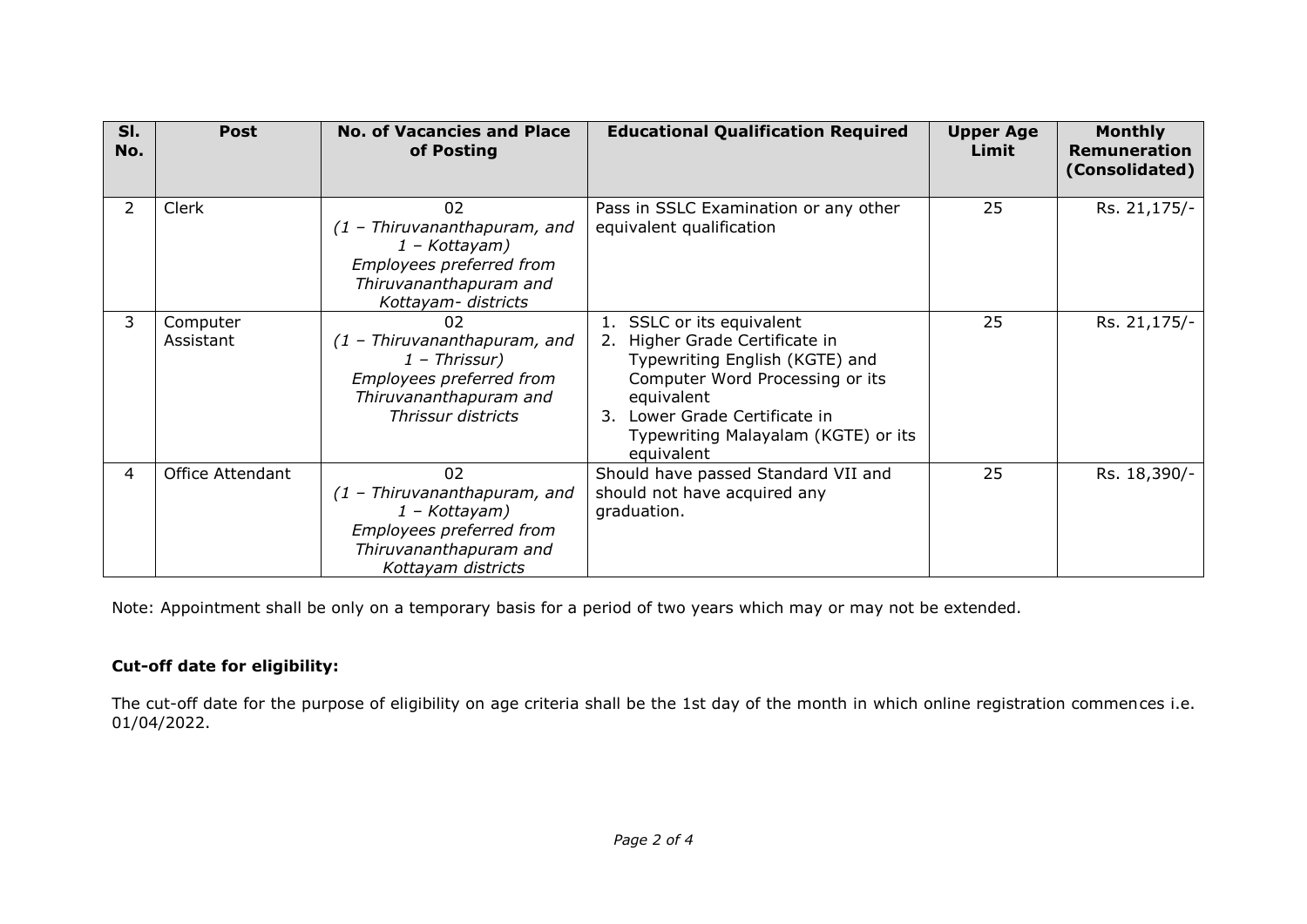| SI.<br>No.     | <b>Post</b>           | <b>No. of Vacancies and Place</b><br>of Posting                                                                                      | <b>Educational Qualification Required</b>                                                                                                                                                                                            | <b>Upper Age</b><br>Limit | <b>Monthly</b><br>Remuneration<br>(Consolidated) |
|----------------|-----------------------|--------------------------------------------------------------------------------------------------------------------------------------|--------------------------------------------------------------------------------------------------------------------------------------------------------------------------------------------------------------------------------------|---------------------------|--------------------------------------------------|
| $\overline{2}$ | Clerk                 | 02<br>(1 - Thiruvananthapuram, and<br>1 - Kottayam)<br>Employees preferred from<br>Thiruvananthapuram and<br>Kottayam- districts     | Pass in SSLC Examination or any other<br>equivalent qualification                                                                                                                                                                    | 25                        | Rs. 21,175/-                                     |
| 3              | Computer<br>Assistant | 02<br>$(1 - Thiruvananthapuram, and)$<br>$1$ – Thrissur)<br>Employees preferred from<br>Thiruvananthapuram and<br>Thrissur districts | SSLC or its equivalent<br>2. Higher Grade Certificate in<br>Typewriting English (KGTE) and<br>Computer Word Processing or its<br>equivalent<br>Lower Grade Certificate in<br>3.<br>Typewriting Malayalam (KGTE) or its<br>equivalent | 25                        | Rs. 21,175/-                                     |
| $\overline{4}$ | Office Attendant      | 02<br>$(1 - Thiruvananthapuram, and)$<br>1 – Kottayam)<br>Employees preferred from<br>Thiruvananthapuram and<br>Kottayam districts   | Should have passed Standard VII and<br>should not have acquired any<br>graduation.                                                                                                                                                   | 25                        | Rs. 18,390/-                                     |

Note: Appointment shall be only on a temporary basis for a period of two years which may or may not be extended.

### **Cut-off date for eligibility:**

The cut-off date for the purpose of eligibility on age criteria shall be the 1st day of the month in which online registration commences i.e. 01/04/2022.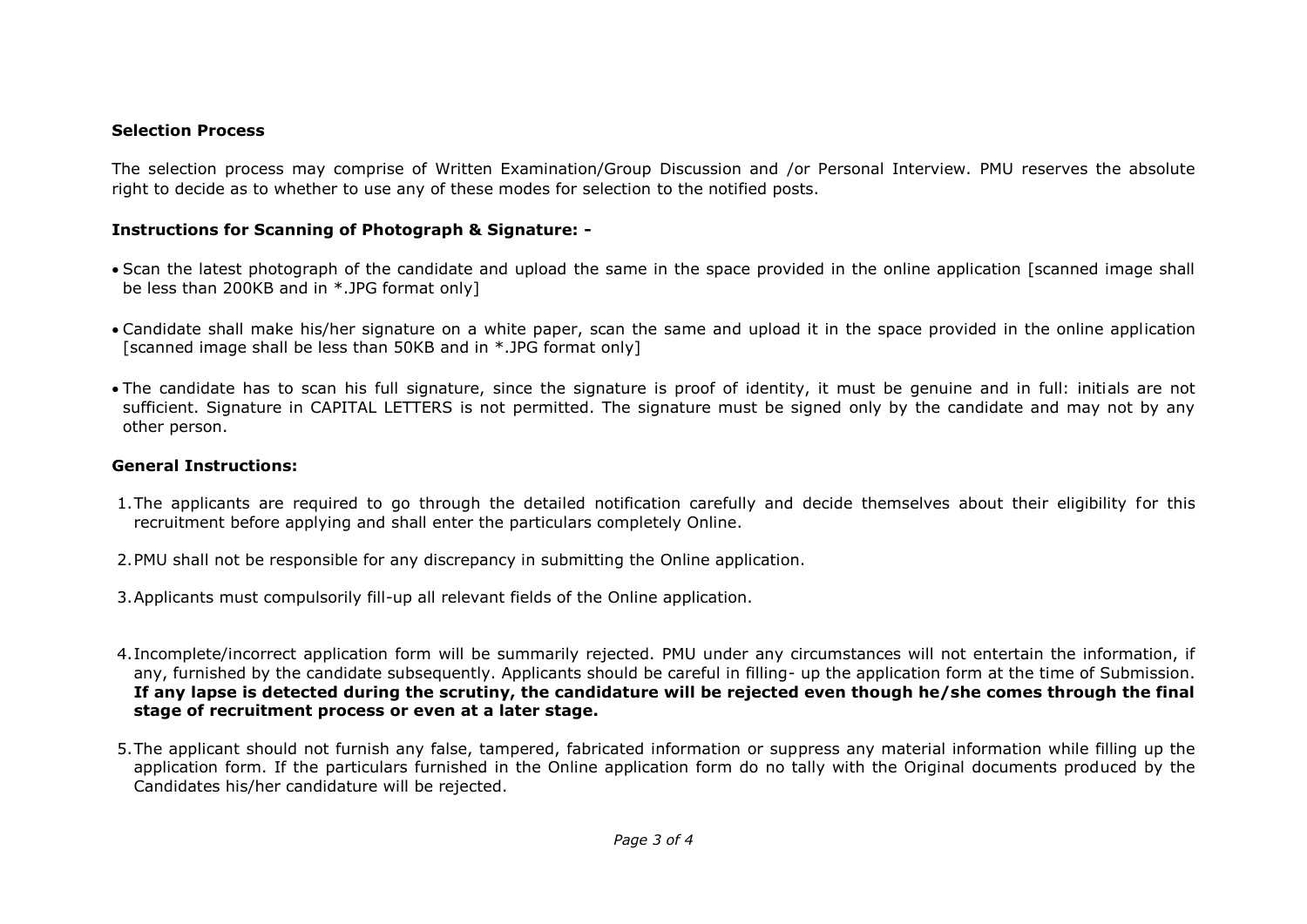### **Selection Process**

The selection process may comprise of Written Examination/Group Discussion and /or Personal Interview. PMU reserves the absolute right to decide as to whether to use any of these modes for selection to the notified posts.

### **Instructions for Scanning of Photograph & Signature: -**

- Scan the latest photograph of the candidate and upload the same in the space provided in the online application [scanned image shall be less than 200KB and in \*.JPG format only]
- Candidate shall make his/her signature on a white paper, scan the same and upload it in the space provided in the online application [scanned image shall be less than 50KB and in \*.JPG format only]
- The candidate has to scan his full signature, since the signature is proof of identity, it must be genuine and in full: initials are not sufficient. Signature in CAPITAL LETTERS is not permitted. The signature must be signed only by the candidate and may not by any other person.

### **General Instructions:**

- 1.The applicants are required to go through the detailed notification carefully and decide themselves about their eligibility for this recruitment before applying and shall enter the particulars completely Online.
- 2.PMU shall not be responsible for any discrepancy in submitting the Online application.
- 3.Applicants must compulsorily fill-up all relevant fields of the Online application.
- 4.Incomplete/incorrect application form will be summarily rejected. PMU under any circumstances will not entertain the information, if any, furnished by the candidate subsequently. Applicants should be careful in filling- up the application form at the time of Submission. **If any lapse is detected during the scrutiny, the candidature will be rejected even though he/she comes through the final stage of recruitment process or even at a later stage.**
- 5.The applicant should not furnish any false, tampered, fabricated information or suppress any material information while filling up the application form. If the particulars furnished in the Online application form do no tally with the Original documents produced by the Candidates his/her candidature will be rejected.